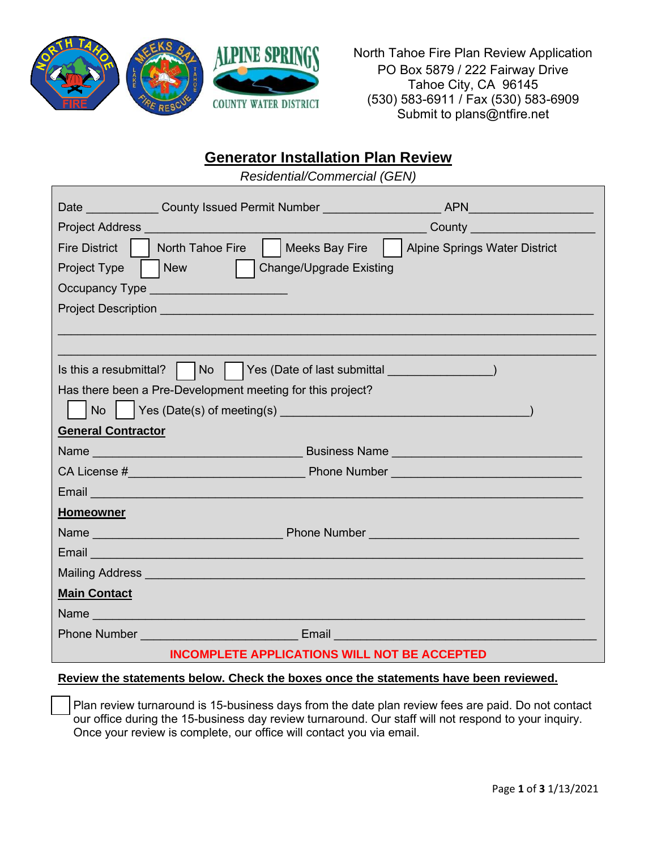

North Tahoe Fire Plan Review Application PO Box 5879 / 222 Fairway Drive Tahoe City, CA 96145 (530) 583-6911 / Fax (530) 583-6909 Submit to plans@ntfire.net

# **Generator Installation Plan Review**

*Residential/Commercial (GEN)*

|                                                                                                                                                                                                                                    | Date County Issued Permit Number                                                                                                                                                                                                     |                                                                                                                                                                                                                                  |  |
|------------------------------------------------------------------------------------------------------------------------------------------------------------------------------------------------------------------------------------|--------------------------------------------------------------------------------------------------------------------------------------------------------------------------------------------------------------------------------------|----------------------------------------------------------------------------------------------------------------------------------------------------------------------------------------------------------------------------------|--|
| <b>Project Address Contract Contract Contract Contract Contract Contract Contract Contract Contract Contract Contract Contract Contract Contract Contract Contract Contract Contract Contract Contract Contract Contract Contr</b> |                                                                                                                                                                                                                                      | County <u>County</u>                                                                                                                                                                                                             |  |
| <b>Fire District</b><br>$\mathbf{L}$                                                                                                                                                                                               | North Tahoe Fire     Meeks Bay Fire                                                                                                                                                                                                  | <b>Alpine Springs Water District</b>                                                                                                                                                                                             |  |
| New<br>Project Type                                                                                                                                                                                                                | <b>Change/Upgrade Existing</b>                                                                                                                                                                                                       |                                                                                                                                                                                                                                  |  |
|                                                                                                                                                                                                                                    | Occupancy Type _______________________                                                                                                                                                                                               |                                                                                                                                                                                                                                  |  |
| <b>Project Description Andrew Contract Contract Contract Contract Contract Contract Contract Contract Contract Co</b>                                                                                                              |                                                                                                                                                                                                                                      |                                                                                                                                                                                                                                  |  |
|                                                                                                                                                                                                                                    |                                                                                                                                                                                                                                      |                                                                                                                                                                                                                                  |  |
|                                                                                                                                                                                                                                    |                                                                                                                                                                                                                                      |                                                                                                                                                                                                                                  |  |
|                                                                                                                                                                                                                                    | Is this a resubmittal?                   Yes (Date of last submittal ___________                                                                                                                                                     |                                                                                                                                                                                                                                  |  |
|                                                                                                                                                                                                                                    | Has there been a Pre-Development meeting for this project?                                                                                                                                                                           |                                                                                                                                                                                                                                  |  |
|                                                                                                                                                                                                                                    |                                                                                                                                                                                                                                      |                                                                                                                                                                                                                                  |  |
| <b>General Contractor</b>                                                                                                                                                                                                          |                                                                                                                                                                                                                                      |                                                                                                                                                                                                                                  |  |
|                                                                                                                                                                                                                                    |                                                                                                                                                                                                                                      | <b>Name Example 2018 Contract Contract Contract Contract Contract Contract Contract Contract Contract Contract Contract Contract Contract Contract Contract Contract Contract Contract Contract Contract Contract Contract C</b> |  |
|                                                                                                                                                                                                                                    |                                                                                                                                                                                                                                      |                                                                                                                                                                                                                                  |  |
|                                                                                                                                                                                                                                    | Email <b>Experience of the Contract of Contract Contract of Contract Contract Contract Contract Contract Contract Contract Contract Contract Contract Contract Contract Contract Contract Contract Contract Contract Contract Co</b> |                                                                                                                                                                                                                                  |  |
| <b>Homeowner</b>                                                                                                                                                                                                                   |                                                                                                                                                                                                                                      |                                                                                                                                                                                                                                  |  |
|                                                                                                                                                                                                                                    |                                                                                                                                                                                                                                      |                                                                                                                                                                                                                                  |  |
|                                                                                                                                                                                                                                    | Email <b>Experience of the Contract of the Contract of the Contract of the Contract of the Contract of the Contract of the Contract of the Contract of the Contract of the Contract of the Contract of the Contract of the Contr</b> |                                                                                                                                                                                                                                  |  |
|                                                                                                                                                                                                                                    | Mailing Address <b>Committee Committee Committee Committee Committee Committee Committee Committee Committee Committee</b>                                                                                                           |                                                                                                                                                                                                                                  |  |
| <b>Main Contact</b>                                                                                                                                                                                                                |                                                                                                                                                                                                                                      |                                                                                                                                                                                                                                  |  |
| Name and the contract of the state of the state of the state of the state of the state of the state of the state of the state of the state of the state of the state of the state of the state of the state of the state of th     |                                                                                                                                                                                                                                      |                                                                                                                                                                                                                                  |  |
|                                                                                                                                                                                                                                    | <b>Phone Number Contract Contract Contract Contract Contract Contract Contract Contract Contract Contract Contract Contract Contract Contract Contract Contract Contract Contract Contract Contract Contract Contract Contract</b>   |                                                                                                                                                                                                                                  |  |
|                                                                                                                                                                                                                                    | <b>INCOMPLETE APPLICATIONS WILL NOT BE ACCEPTED</b>                                                                                                                                                                                  |                                                                                                                                                                                                                                  |  |

#### **Review the statements below. Check the boxes once the statements have been reviewed.**

Plan review turnaround is 15-business days from the date plan review fees are paid. Do not contact our office during the 15-business day review turnaround. Our staff will not respond to your inquiry. Once your review is complete, our office will contact you via email.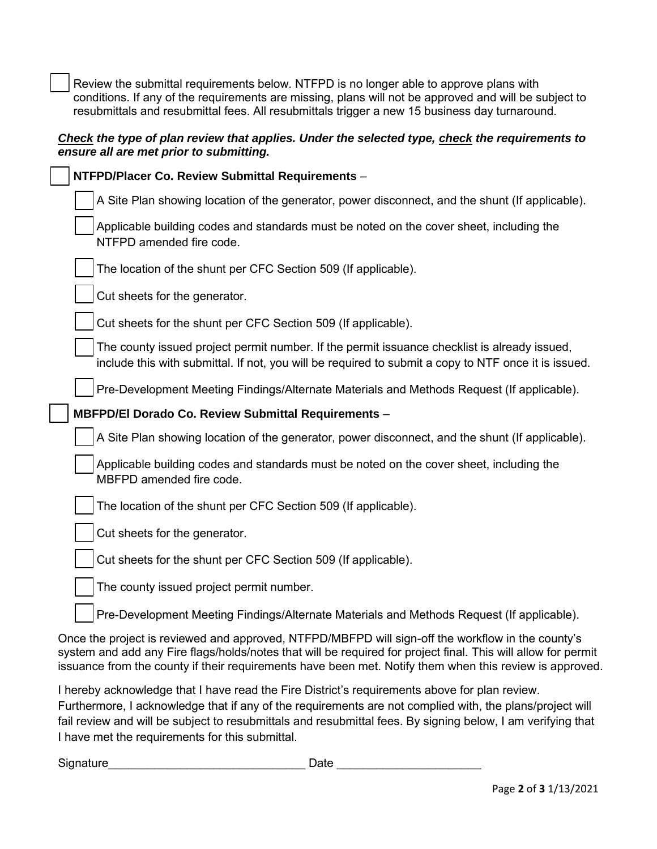Review the submittal requirements below. NTFPD is no longer able to approve plans with conditions. If any of the requirements are missing, plans will not be approved and will be subject to resubmittals and resubmittal fees. All resubmittals trigger a new 15 business day turnaround.

#### *Check the type of plan review that applies. Under the selected type, check the requirements to ensure all are met prior to submitting.*

| NTFPD/Placer Co. Review Submittal Requirements -                                                                                                                                                                                                                                                                              |  |  |  |
|-------------------------------------------------------------------------------------------------------------------------------------------------------------------------------------------------------------------------------------------------------------------------------------------------------------------------------|--|--|--|
| A Site Plan showing location of the generator, power disconnect, and the shunt (If applicable).                                                                                                                                                                                                                               |  |  |  |
| Applicable building codes and standards must be noted on the cover sheet, including the<br>NTFPD amended fire code.                                                                                                                                                                                                           |  |  |  |
| The location of the shunt per CFC Section 509 (If applicable).                                                                                                                                                                                                                                                                |  |  |  |
| Cut sheets for the generator.                                                                                                                                                                                                                                                                                                 |  |  |  |
| Cut sheets for the shunt per CFC Section 509 (If applicable).                                                                                                                                                                                                                                                                 |  |  |  |
| The county issued project permit number. If the permit issuance checklist is already issued,<br>include this with submittal. If not, you will be required to submit a copy to NTF once it is issued.                                                                                                                          |  |  |  |
| Pre-Development Meeting Findings/Alternate Materials and Methods Request (If applicable).                                                                                                                                                                                                                                     |  |  |  |
| MBFPD/El Dorado Co. Review Submittal Requirements -                                                                                                                                                                                                                                                                           |  |  |  |
| A Site Plan showing location of the generator, power disconnect, and the shunt (If applicable).                                                                                                                                                                                                                               |  |  |  |
| Applicable building codes and standards must be noted on the cover sheet, including the<br>MBFPD amended fire code.                                                                                                                                                                                                           |  |  |  |
| The location of the shunt per CFC Section 509 (If applicable).                                                                                                                                                                                                                                                                |  |  |  |
| Cut sheets for the generator.                                                                                                                                                                                                                                                                                                 |  |  |  |
| Cut sheets for the shunt per CFC Section 509 (If applicable).                                                                                                                                                                                                                                                                 |  |  |  |
| The county issued project permit number.                                                                                                                                                                                                                                                                                      |  |  |  |
| Pre-Development Meeting Findings/Alternate Materials and Methods Request (If applicable).                                                                                                                                                                                                                                     |  |  |  |
| Once the project is reviewed and approved, NTFPD/MBFPD will sign-off the workflow in the county's<br>system and add any Fire flags/holds/notes that will be required for project final. This will allow for permit<br>issuance from the county if their requirements have been met. Notify them when this review is approved. |  |  |  |

I hereby acknowledge that I have read the Fire District's requirements above for plan review. Furthermore, I acknowledge that if any of the requirements are not complied with, the plans/project will fail review and will be subject to resubmittals and resubmittal fees. By signing below, I am verifying that I have met the requirements for this submittal.

Signature\_\_\_\_\_\_\_\_\_\_\_\_\_\_\_\_\_\_\_\_\_\_\_\_\_\_\_\_\_\_ Date \_\_\_\_\_\_\_\_\_\_\_\_\_\_\_\_\_\_\_\_\_\_